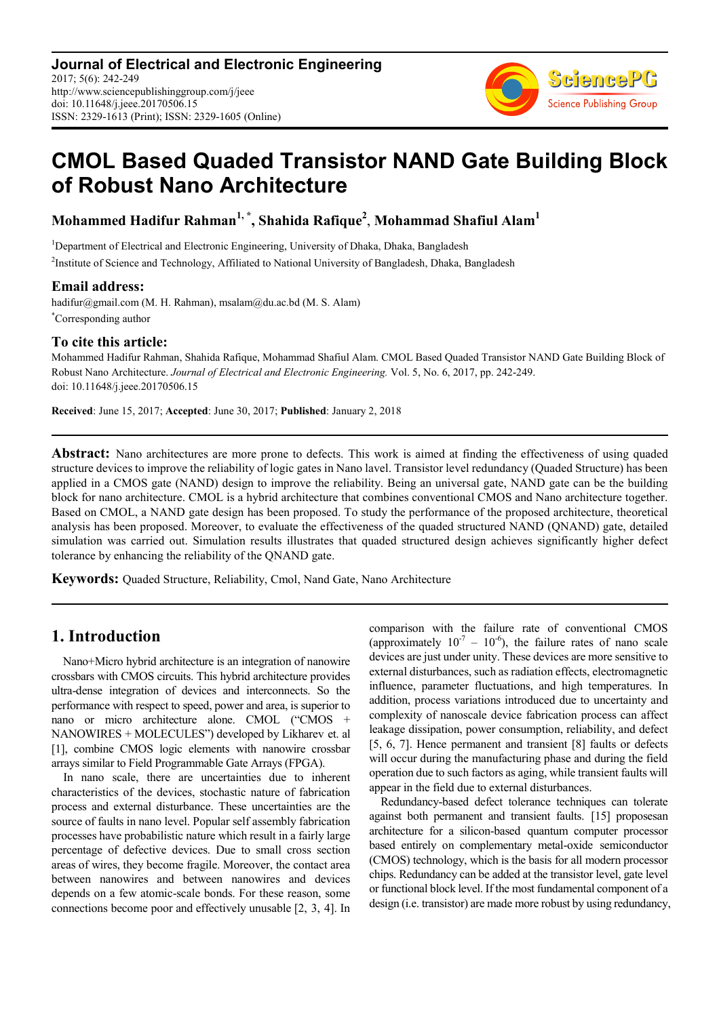**Journal of Electrical and Electronic Engineering** 2017; 5(6): 242-249 http://www.sciencepublishinggroup.com/j/jeee doi: 10.11648/j.jeee.20170506.15 ISSN: 2329-1613 (Print); ISSN: 2329-1605 (Online)



# **CMOL Based Quaded Transistor NAND Gate Building Block of Robust Nano Architecture**

**Mohammed Hadifur Rahman1, \*, Shahida Rafique<sup>2</sup>** , **Mohammad Shafiul Alam<sup>1</sup>**

<sup>1</sup>Department of Electrical and Electronic Engineering, University of Dhaka, Dhaka, Bangladesh

<sup>2</sup>Institute of Science and Technology, Affiliated to National University of Bangladesh, Dhaka, Bangladesh

### **Email address:**

hadifur@gmail.com (M. H. Rahman), msalam@du.ac.bd (M. S. Alam) \*Corresponding author

### **To cite this article:**

Mohammed Hadifur Rahman, Shahida Rafique, Mohammad Shafiul Alam. CMOL Based Quaded Transistor NAND Gate Building Block of Robust Nano Architecture. *Journal of Electrical and Electronic Engineering.* Vol. 5, No. 6, 2017, pp. 242-249. doi: 10.11648/j.jeee.20170506.15

**Received**: June 15, 2017; **Accepted**: June 30, 2017; **Published**: January 2, 2018

Abstract: Nano architectures are more prone to defects. This work is aimed at finding the effectiveness of using quaded structure devices to improve the reliability of logic gates in Nano lavel. Transistor level redundancy (Quaded Structure) has been applied in a CMOS gate (NAND) design to improve the reliability. Being an universal gate, NAND gate can be the building block for nano architecture. CMOL is a hybrid architecture that combines conventional CMOS and Nano architecture together. Based on CMOL, a NAND gate design has been proposed. To study the performance of the proposed architecture, theoretical analysis has been proposed. Moreover, to evaluate the effectiveness of the quaded structured NAND (QNAND) gate, detailed simulation was carried out. Simulation results illustrates that quaded structured design achieves significantly higher defect tolerance by enhancing the reliability of the QNAND gate.

**Keywords:** Quaded Structure, Reliability, Cmol, Nand Gate, Nano Architecture

## **1. Introduction**

Nano+Micro hybrid architecture is an integration of nanowire crossbars with CMOS circuits. This hybrid architecture provides ultra-dense integration of devices and interconnects. So the performance with respect to speed, power and area, is superior to nano or micro architecture alone. CMOL ("CMOS + NANOWIRES + MOLECULES") developed by Likharev et. al [1], combine CMOS logic elements with nanowire crossbar arrays similar to Field Programmable Gate Arrays (FPGA).

In nano scale, there are uncertainties due to inherent characteristics of the devices, stochastic nature of fabrication process and external disturbance. These uncertainties are the source of faults in nano level. Popular self assembly fabrication processes have probabilistic nature which result in a fairly large percentage of defective devices. Due to small cross section areas of wires, they become fragile. Moreover, the contact area between nanowires and between nanowires and devices depends on a few atomic-scale bonds. For these reason, some connections become poor and effectively unusable [2, 3, 4]. In comparison with the failure rate of conventional CMOS (approximately  $10^{-7} - 10^{-6}$ ), the failure rates of nano scale devices are just under unity. These devices are more sensitive to external disturbances, such as radiation effects, electromagnetic influence, parameter fluctuations, and high temperatures. In addition, process variations introduced due to uncertainty and complexity of nanoscale device fabrication process can affect leakage dissipation, power consumption, reliability, and defect [5, 6, 7]. Hence permanent and transient [8] faults or defects will occur during the manufacturing phase and during the field operation due to such factors as aging, while transient faults will appear in the field due to external disturbances.

Redundancy-based defect tolerance techniques can tolerate against both permanent and transient faults. [15] proposesan architecture for a silicon-based quantum computer processor based entirely on complementary metal-oxide semiconductor (CMOS) technology, which is the basis for all modern processor chips. Redundancy can be added at the transistor level, gate level or functional block level. If the most fundamental component of a design (i.e. transistor) are made more robust by using redundancy,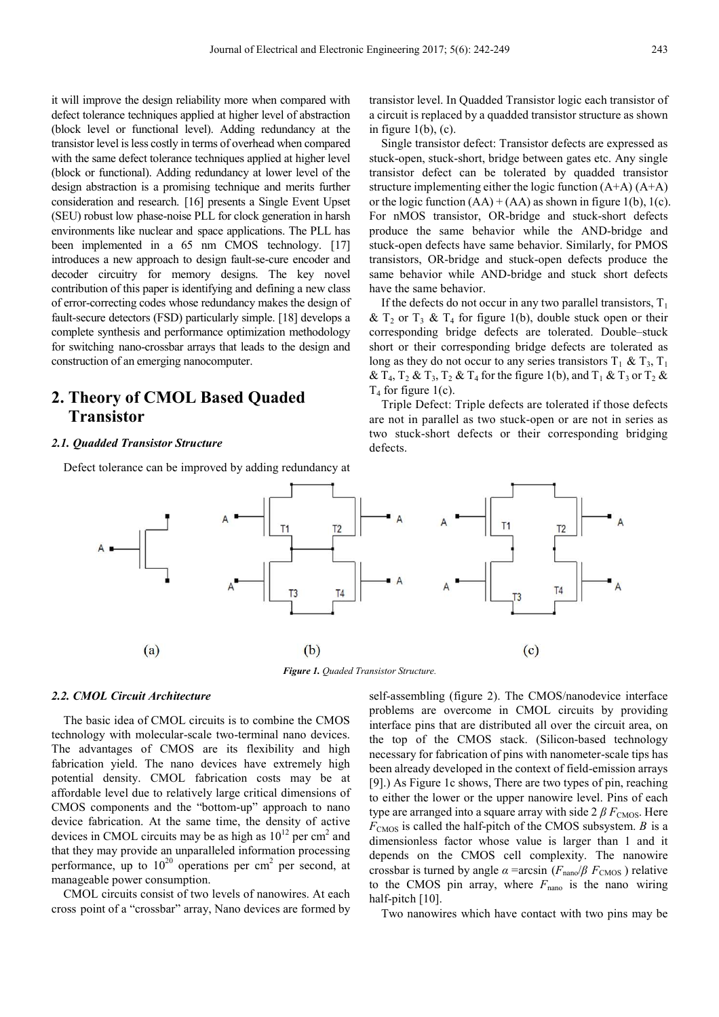it will improve the design reliability more when compared with defect tolerance techniques applied at higher level of abstraction (block level or functional level). Adding redundancy at the transistor level is less costly in terms of overhead when compared with the same defect tolerance techniques applied at higher level (block or functional). Adding redundancy at lower level of the design abstraction is a promising technique and merits further consideration and research. [16] presents a Single Event Upset (SEU) robust low phase-noise PLL for clock generation in harsh environments like nuclear and space applications. The PLL has been implemented in a 65 nm CMOS technology. [17] introduces a new approach to design fault-se-cure encoder and decoder circuitry for memory designs. The key novel contribution of this paper is identifying and defining a new class of error-correcting codes whose redundancy makes the design of fault-secure detectors (FSD) particularly simple. [18] develops a complete synthesis and performance optimization methodology for switching nano-crossbar arrays that leads to the design and construction of an emerging nanocomputer.

# **2. Theory of CMOL Based Quaded Transistor**

#### *2.1. Quadded Transistor Structure*

Defect tolerance can be improved by adding redundancy at

transistor level. In Quadded Transistor logic each transistor of a circuit is replaced by a quadded transistor structure as shown in figure  $1(b)$ ,  $(c)$ .

Single transistor defect: Transistor defects are expressed as stuck-open, stuck-short, bridge between gates etc. Any single transistor defect can be tolerated by quadded transistor structure implementing either the logic function  $(A+A)$   $(A+A)$ or the logic function  $(AA) + (AA)$  as shown in figure 1(b), 1(c). For nMOS transistor, OR-bridge and stuck-short defects produce the same behavior while the AND-bridge and stuck-open defects have same behavior. Similarly, for PMOS transistors, OR-bridge and stuck-open defects produce the same behavior while AND-bridge and stuck short defects have the same behavior.

If the defects do not occur in any two parallel transistors,  $T_1$ &  $T_2$  or  $T_3$  &  $T_4$  for figure 1(b), double stuck open or their corresponding bridge defects are tolerated. Double–stuck short or their corresponding bridge defects are tolerated as long as they do not occur to any series transistors  $T_1 \& T_3$ ,  $T_1$ &  $T_4$ ,  $T_2$  &  $T_3$ ,  $T_2$  &  $T_4$  for the figure 1(b), and  $T_1$  &  $T_3$  or  $T_2$  &  $T_4$  for figure 1(c).

Triple Defect: Triple defects are tolerated if those defects are not in parallel as two stuck-open or are not in series as two stuck-short defects or their corresponding bridging defects.



### *Figure 1. Quaded Transistor Structure.*

### *2.2. CMOL Circuit Architecture*

The basic idea of CMOL circuits is to combine the CMOS technology with molecular-scale two-terminal nano devices. The advantages of CMOS are its flexibility and high fabrication yield. The nano devices have extremely high potential density. CMOL fabrication costs may be at affordable level due to relatively large critical dimensions of CMOS components and the "bottom-up" approach to nano device fabrication. At the same time, the density of active devices in CMOL circuits may be as high as  $10^{12}$  per cm<sup>2</sup> and that they may provide an unparalleled information processing performance, up to  $10^{20}$  operations per cm<sup>2</sup> per second, at manageable power consumption.

CMOL circuits consist of two levels of nanowires. At each cross point of a "crossbar" array, Nano devices are formed by self-assembling (figure 2). The CMOS/nanodevice interface problems are overcome in CMOL circuits by providing interface pins that are distributed all over the circuit area, on the top of the CMOS stack. (Silicon-based technology necessary for fabrication of pins with nanometer-scale tips has been already developed in the context of field-emission arrays [9].) As Figure 1c shows, There are two types of pin, reaching to either the lower or the upper nanowire level. Pins of each type are arranged into a square array with side  $2 \beta F_{\text{CMOS}}$ . Here *F*CMOS is called the half-pitch of the CMOS subsystem. *Β* is a dimensionless factor whose value is larger than 1 and it depends on the CMOS cell complexity. The nanowire crossbar is turned by angle  $\alpha$  =arcsin ( $F_{\text{nano}}/\beta$   $F_{\text{CMOS}}$ ) relative to the CMOS pin array, where  $F_{\text{nano}}$  is the nano wiring half-pitch [10].

Two nanowires which have contact with two pins may be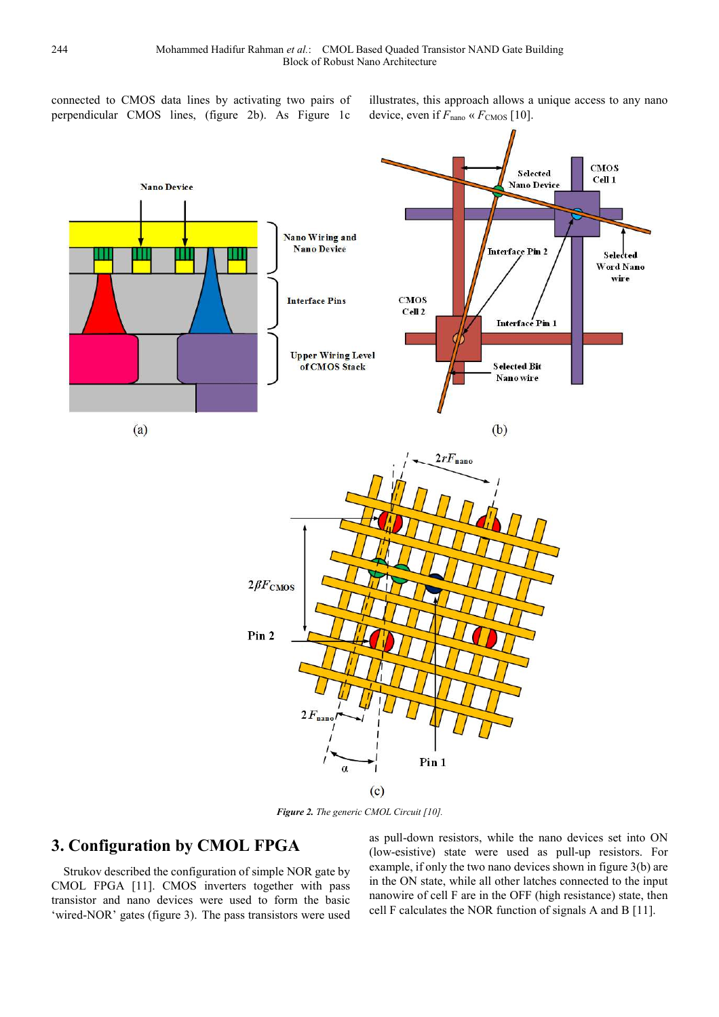connected to CMOS data lines by activating two pairs of perpendicular CMOS lines, (figure 2b). As Figure 1c

illustrates, this approach allows a unique access to any nano device, even if  $F_{\text{nano}} \ll F_{\text{CMOS}}$  [10].



*Figure 2. The generic CMOL Circuit [10].* 

# **3. Configuration by CMOL FPGA**

Strukov described the configuration of simple NOR gate by CMOL FPGA [11]. CMOS inverters together with pass transistor and nano devices were used to form the basic 'wired-NOR' gates (figure 3). The pass transistors were used

as pull-down resistors, while the nano devices set into ON (low-esistive) state were used as pull-up resistors. For example, if only the two nano devices shown in figure 3(b) are in the ON state, while all other latches connected to the input nanowire of cell F are in the OFF (high resistance) state, then cell F calculates the NOR function of signals A and B [11].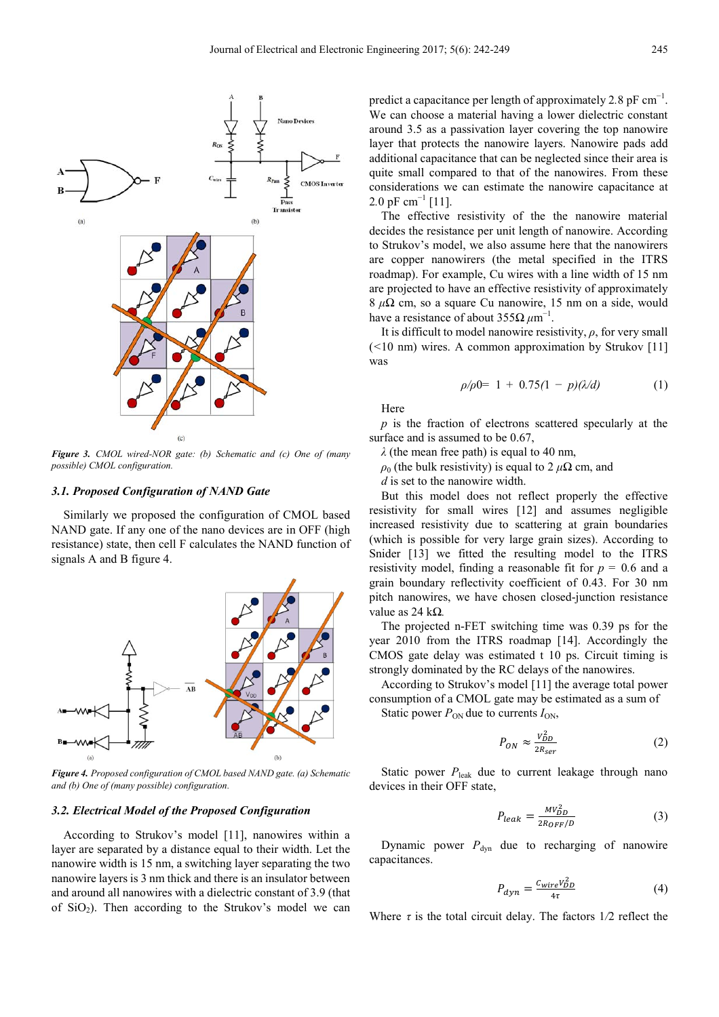

*Figure 3. CMOL wired-NOR gate: (b) Schematic and (c) One of (many possible) CMOL configuration.* 

#### *3.1. Proposed Configuration of NAND Gate*

Similarly we proposed the configuration of CMOL based NAND gate. If any one of the nano devices are in OFF (high resistance) state, then cell F calculates the NAND function of signals A and B figure 4.



*Figure 4. Proposed configuration of CMOL based NAND gate. (a) Schematic and (b) One of (many possible) configuration.* 

### *3.2. Electrical Model of the Proposed Configuration*

According to Strukov's model [11], nanowires within a layer are separated by a distance equal to their width. Let the nanowire width is 15 nm, a switching layer separating the two nanowire layers is 3 nm thick and there is an insulator between and around all nanowires with a dielectric constant of 3.9 (that of  $SiO<sub>2</sub>$ ). Then according to the Strukov's model we can

predict a capacitance per length of approximately 2.8 pF cm<sup>-1</sup>. We can choose a material having a lower dielectric constant around 3.5 as a passivation layer covering the top nanowire layer that protects the nanowire layers. Nanowire pads add additional capacitance that can be neglected since their area is quite small compared to that of the nanowires. From these considerations we can estimate the nanowire capacitance at 2.0 pF cm<sup>-1</sup> [11].

The effective resistivity of the the nanowire material decides the resistance per unit length of nanowire. According to Strukov's model, we also assume here that the nanowirers are copper nanowirers (the metal specified in the ITRS roadmap). For example, Cu wires with a line width of 15 nm are projected to have an effective resistivity of approximately 8 *µΩ* cm, so a square Cu nanowire, 15 nm on a side, would have a resistance of about 355Ω  $\mu$ m<sup>-1</sup> .

It is difficult to model nanowire resistivity, *ρ*, for very small (*<*10 nm) wires. A common approximation by Strukov [11] was

$$
\rho/\rho 0 = 1 + 0.75(1 - p)(\lambda/d) \tag{1}
$$

Here

*p* is the fraction of electrons scattered specularly at the surface and is assumed to be  $0.67$ ,

*λ* (the mean free path) is equal to 40 nm,

 $\rho_0$  (the bulk resistivity) is equal to 2  $\mu\Omega$  cm, and

*d* is set to the nanowire width.

But this model does not reflect properly the effective resistivity for small wires [12] and assumes negligible increased resistivity due to scattering at grain boundaries (which is possible for very large grain sizes). According to Snider [13] we fitted the resulting model to the ITRS resistivity model, finding a reasonable fit for  $p = 0.6$  and a grain boundary reflectivity coefficient of 0.43. For 30 nm pitch nanowires, we have chosen closed-junction resistance value as 24 k*Ω.*

The projected n-FET switching time was 0.39 ps for the year 2010 from the ITRS roadmap [14]. Accordingly the CMOS gate delay was estimated t 10 ps. Circuit timing is strongly dominated by the RC delays of the nanowires.

According to Strukov's model [11] the average total power consumption of a CMOL gate may be estimated as a sum of Static power  $P_{ON}$  due to currents  $I_{ON}$ ,

> $P_{ON} \approx \frac{V_{DD}^2}{2R}$ (2)

 $2R_{Ser}$ 

Static power  $P_{\text{leak}}$  due to current leakage through nano devices in their OFF state,

$$
P_{leak} = \frac{MV_{DD}^2}{2R_{OFF}/D} \tag{3}
$$

Dynamic power  $P_{dyn}$  due to recharging of nanowire capacitances.

$$
P_{dyn} = \frac{c_{wire} V_{DD}^2}{4\tau} \tag{4}
$$

Where  $\tau$  is the total circuit delay. The factors  $1/2$  reflect the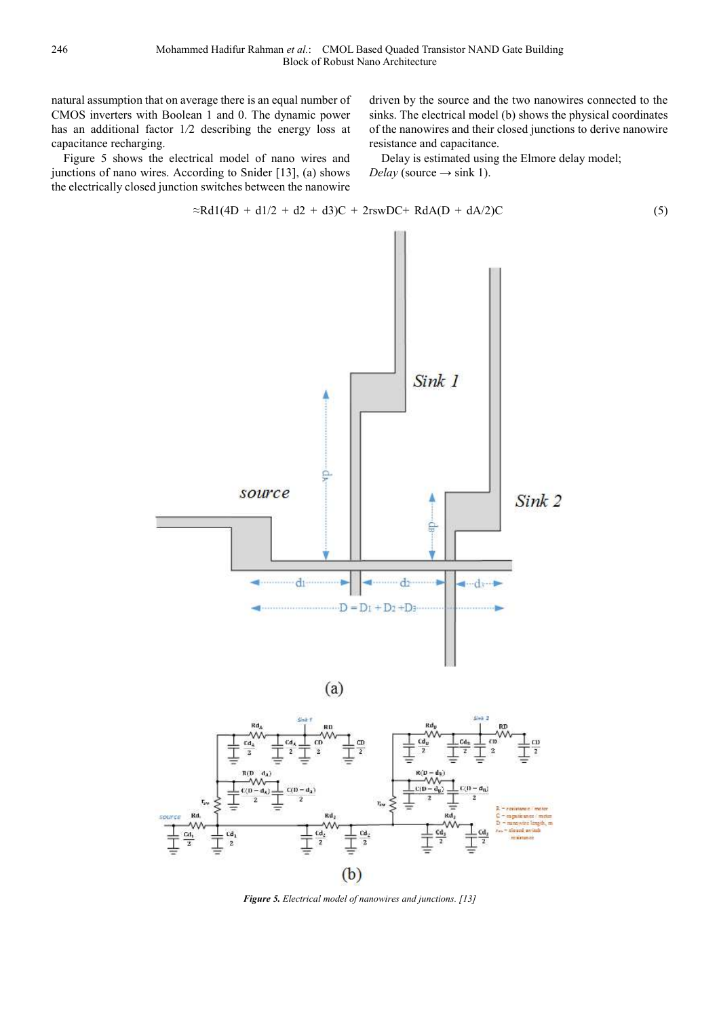natural assumption that on average there is an equal number of CMOS inverters with Boolean 1 and 0. The dynamic power has an additional factor 1*/*2 describing the energy loss at capacitance recharging.

Figure 5 shows the electrical model of nano wires and junctions of nano wires. According to Snider [13], (a) shows the electrically closed junction switches between the nanowire driven by the source and the two nanowires connected to the sinks. The electrical model (b) shows the physical coordinates of the nanowires and their closed junctions to derive nanowire resistance and capacitance.

Delay is estimated using the Elmore delay model;  $Delay$  (source  $\rightarrow$  sink 1).

$$
\approx \text{Rd1}(4D + d1/2 + d2 + d3)C + 2\text{rsw}DC + \text{RdA}(D + dA/2)C \tag{5}
$$

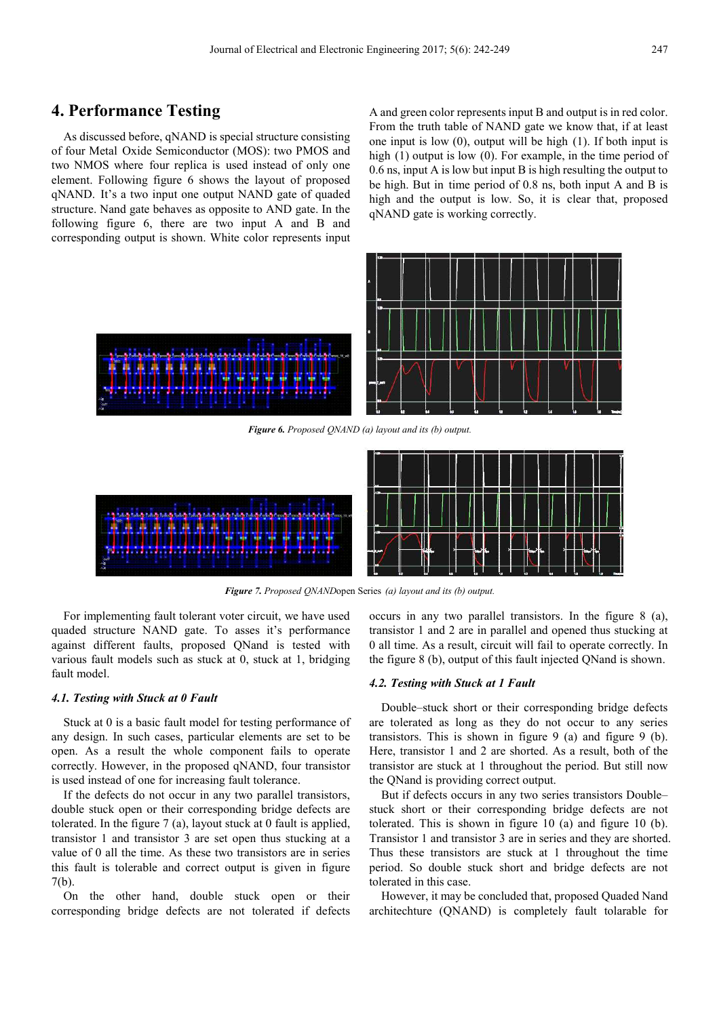### **4. Performance Testing**

As discussed before, qNAND is special structure consisting of four Metal Oxide Semiconductor (MOS): two PMOS and two NMOS where four replica is used instead of only one element. Following figure 6 shows the layout of proposed qNAND. It's a two input one output NAND gate of quaded structure. Nand gate behaves as opposite to AND gate. In the following figure 6, there are two input A and B and corresponding output is shown. White color represents input A and green color represents input B and output is in red color. From the truth table of NAND gate we know that, if at least one input is low (0), output will be high (1). If both input is high (1) output is low (0). For example, in the time period of 0.6 ns, input A is low but input B is high resulting the output to be high. But in time period of 0.8 ns, both input A and B is high and the output is low. So, it is clear that, proposed qNAND gate is working correctly.



*Figure 6. Proposed QNAND (a) layout and its (b) output.* 



*Figure 7. Proposed QNAND* open Series (a) layout and its (b) output.

For implementing fault tolerant voter circuit, we have used quaded structure NAND gate. To asses it's performance against different faults, proposed QNand is tested with various fault models such as stuck at 0, stuck at 1, bridging fault model.

#### *4.1. Testing with Stuck at 0 Fault*

Stuck at 0 is a basic fault model for testing performance of any design. In such cases, particular elements are set to be open. As a result the whole component fails to operate correctly. However, in the proposed qNAND, four transistor is used instead of one for increasing fault tolerance.

If the defects do not occur in any two parallel transistors, double stuck open or their corresponding bridge defects are tolerated. In the figure 7 (a), layout stuck at 0 fault is applied, transistor 1 and transistor 3 are set open thus stucking at a value of 0 all the time. As these two transistors are in series this fault is tolerable and correct output is given in figure 7(b).

On the other hand, double stuck open or their corresponding bridge defects are not tolerated if defects occurs in any two parallel transistors. In the figure 8 (a), transistor 1 and 2 are in parallel and opened thus stucking at 0 all time. As a result, circuit will fail to operate correctly. In the figure 8 (b), output of this fault injected QNand is shown.

### *4.2. Testing with Stuck at 1 Fault*

Double–stuck short or their corresponding bridge defects are tolerated as long as they do not occur to any series transistors. This is shown in figure 9 (a) and figure 9 (b). Here, transistor 1 and 2 are shorted. As a result, both of the transistor are stuck at 1 throughout the period. But still now the QNand is providing correct output.

But if defects occurs in any two series transistors Double– stuck short or their corresponding bridge defects are not tolerated. This is shown in figure 10 (a) and figure 10 (b). Transistor 1 and transistor 3 are in series and they are shorted. Thus these transistors are stuck at 1 throughout the time period. So double stuck short and bridge defects are not tolerated in this case.

However, it may be concluded that, proposed Quaded Nand architechture (QNAND) is completely fault tolarable for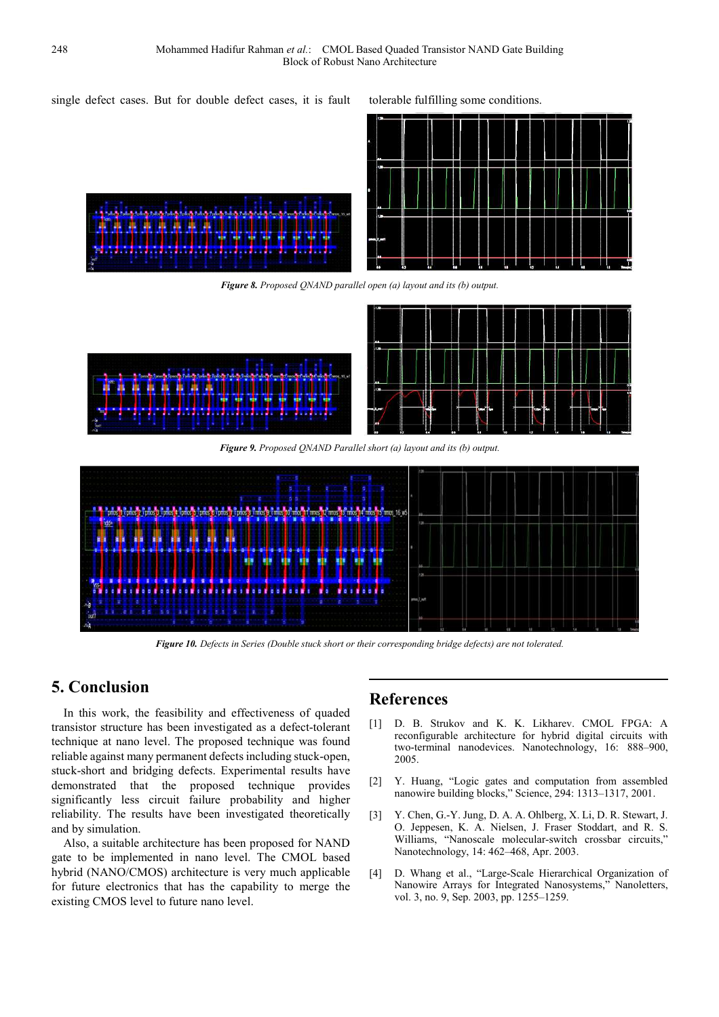single defect cases. But for double defect cases, it is fault tolerable fulfilling some conditions.



*Figure 8. Proposed QNAND parallel open (a) layout and its (b) output.* 



*Figure 9. Proposed QNAND Parallel short (a) layout and its (b) output.* 



*Figure 10. Defects in Series (Double stuck short or their corresponding bridge defects) are not tolerated.* 

## **5. Conclusion**

In this work, the feasibility and effectiveness of quaded transistor structure has been investigated as a defect-tolerant technique at nano level. The proposed technique was found reliable against many permanent defects including stuck-open, stuck-short and bridging defects. Experimental results have demonstrated that the proposed technique provides significantly less circuit failure probability and higher reliability. The results have been investigated theoretically and by simulation.

Also, a suitable architecture has been proposed for NAND gate to be implemented in nano level. The CMOL based hybrid (NANO/CMOS) architecture is very much applicable for future electronics that has the capability to merge the existing CMOS level to future nano level.

### **References**

- [1] D. B. Strukov and K. K. Likharev. CMOL FPGA: A reconfigurable architecture for hybrid digital circuits with two-terminal nanodevices. Nanotechnology, 16: 888–900, 2005.
- [2] Y. Huang, "Logic gates and computation from assembled nanowire building blocks," Science, 294: 1313–1317, 2001.
- [3] Y. Chen, G.-Y. Jung, D. A. A. Ohlberg, X. Li, D. R. Stewart, J. O. Jeppesen, K. A. Nielsen, J. Fraser Stoddart, and R. S. Williams, "Nanoscale molecular-switch crossbar circuits," Nanotechnology, 14: 462–468, Apr. 2003.
- [4] D. Whang et al., "Large-Scale Hierarchical Organization of Nanowire Arrays for Integrated Nanosystems," Nanoletters, vol. 3, no. 9, Sep. 2003, pp. 1255–1259.